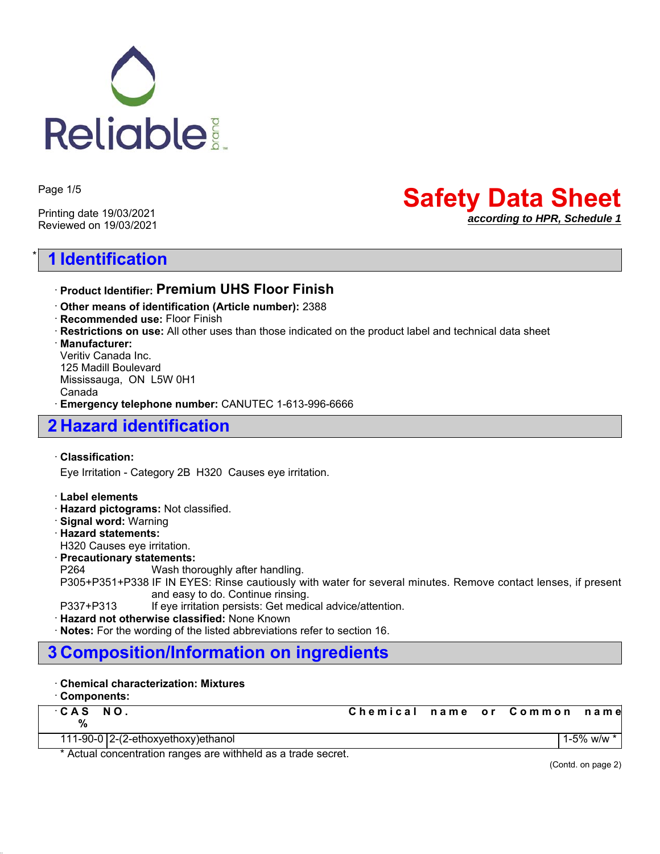

Page 1/5

Printing date 19/03/2021 Reviewed on 19/03/2021

# \* **1 Identification**

# **Safety Data Sheet** *according to HPR, Schedule 1*

ꞏ **Product Identifier: Premium UHS Floor Finish**

- ꞏ **Other means of identification (Article number):** 2388
- ꞏ **Recommended use:** Floor Finish
- ꞏ **Restrictions on use:** All other uses than those indicated on the product label and technical data sheet

ꞏ **Manufacturer:**

Veritiv Canada Inc. 125 Madill Boulevard Mississauga, ON L5W 0H1 Canada ꞏ **Emergency telephone number:** CANUTEC 1-613-996-6666

## **2 Hazard identification**

#### ꞏ **Classification:**

Eye Irritation - Category 2B H320 Causes eye irritation.

#### ꞏ **Label elements**

- ꞏ **Hazard pictograms:** Not classified.
- ꞏ **Signal word:** Warning
- ꞏ **Hazard statements:**
- H320 Causes eye irritation.

#### ꞏ **Precautionary statements:**

P264 Wash thoroughly after handling.

P305+P351+P338 IF IN EYES: Rinse cautiously with water for several minutes. Remove contact lenses, if present and easy to do. Continue rinsing.

P337+P313 If eye irritation persists: Get medical advice/attention.

ꞏ **Hazard not otherwise classified:** None Known

ꞏ **Notes:** For the wording of the listed abbreviations refer to section 16.

### **3 Composition/Information on ingredients**

#### ꞏ **Chemical characterization: Mixtures**

#### ꞏ **Components:**

| CAS NO.<br>%                          | Chemical name or Common name |  |              |
|---------------------------------------|------------------------------|--|--------------|
| 111-90-0 $ 2-(2-ethoxyethoxy)ethanol$ |                              |  | 1-5% w/w $*$ |

\* Actual concentration ranges are withheld as a trade secret.

(Contd. on page 2)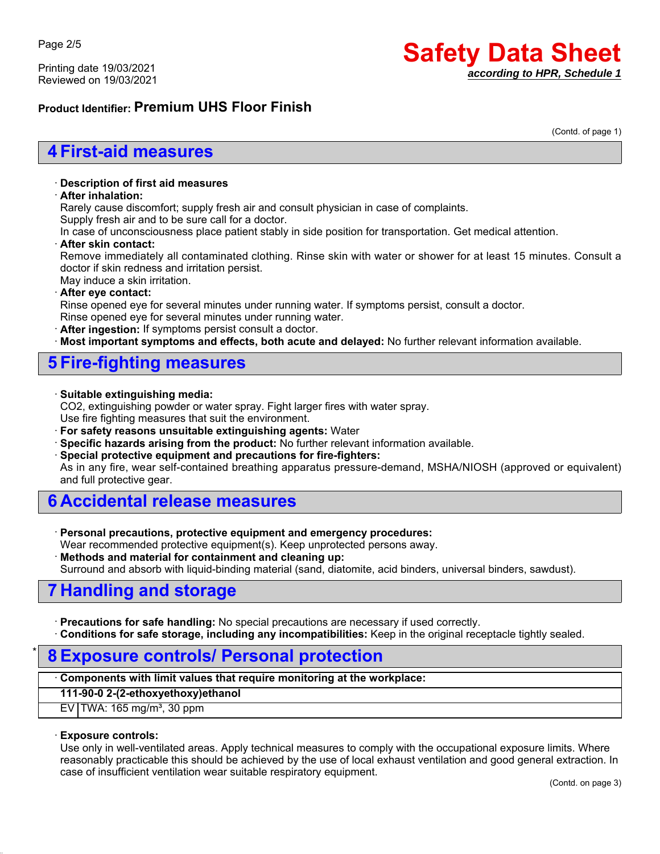Printing date 19/03/2021 Reviewed on 19/03/2021

# **Safety Data Sheet** *according to HPR, Schedule 1*

### **Product Identifier: Premium UHS Floor Finish**

(Contd. of page 1)

### **4 First-aid measures**

#### ꞏ **Description of first aid measures**

#### ꞏ **After inhalation:**

Rarely cause discomfort; supply fresh air and consult physician in case of complaints.

Supply fresh air and to be sure call for a doctor.

In case of unconsciousness place patient stably in side position for transportation. Get medical attention.

#### ꞏ **After skin contact:**

Remove immediately all contaminated clothing. Rinse skin with water or shower for at least 15 minutes. Consult a doctor if skin redness and irritation persist.

### May induce a skin irritation.

#### ꞏ **After eye contact:**

Rinse opened eye for several minutes under running water. If symptoms persist, consult a doctor.

- Rinse opened eye for several minutes under running water.
- ꞏ **After ingestion:** If symptoms persist consult a doctor.

**Most important symptoms and effects, both acute and delayed:** No further relevant information available.

### **5 Fire-fighting measures**

#### ꞏ **Suitable extinguishing media:**

CO2, extinguishing powder or water spray. Fight larger fires with water spray. Use fire fighting measures that suit the environment.

ꞏ **For safety reasons unsuitable extinguishing agents:** Water

- ꞏ **Specific hazards arising from the product:** No further relevant information available.
- ꞏ **Special protective equipment and precautions for fire-fighters:**

As in any fire, wear self-contained breathing apparatus pressure-demand, MSHA/NIOSH (approved or equivalent) and full protective gear.

### **6 Accidental release measures**

ꞏ **Personal precautions, protective equipment and emergency procedures:**

Wear recommended protective equipment(s). Keep unprotected persons away.

ꞏ **Methods and material for containment and cleaning up:**

Surround and absorb with liquid-binding material (sand, diatomite, acid binders, universal binders, sawdust).

# **7 Handling and storage**

ꞏ **Precautions for safe handling:** No special precautions are necessary if used correctly.

ꞏ **Conditions for safe storage, including any incompatibilities:** Keep in the original receptacle tightly sealed.

### \* **8 Exposure controls/ Personal protection**

#### ꞏ **Components with limit values that require monitoring at the workplace:**

**111-90-0 2-(2-ethoxyethoxy)ethanol**

 $EV$  TWA: 165 mg/m<sup>3</sup>, 30 ppm

#### ꞏ **Exposure controls:**

Use only in well-ventilated areas. Apply technical measures to comply with the occupational exposure limits. Where reasonably practicable this should be achieved by the use of local exhaust ventilation and good general extraction. In case of insufficient ventilation wear suitable respiratory equipment.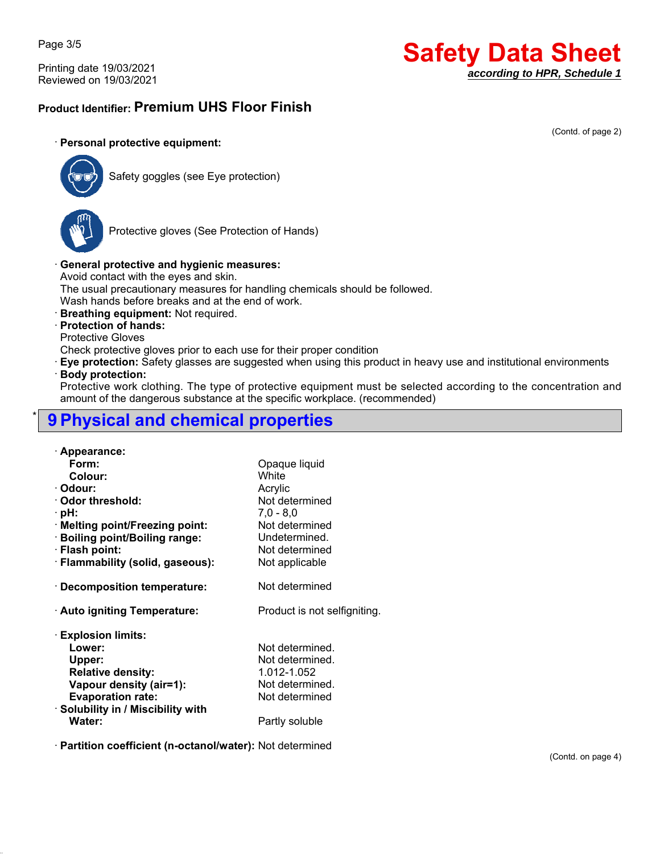Page 3/5

Printing date 19/03/2021 Reviewed on 19/03/2021

# **Safety Data Sheet** *according to HPR, Schedule 1*

### **Product Identifier: Premium UHS Floor Finish**

#### (Contd. of page 2)

#### ꞏ **Personal protective equipment:**



Safety goggles (see Eye protection)



Protective gloves (See Protection of Hands)

#### ꞏ **General protective and hygienic measures:**

Avoid contact with the eyes and skin.

The usual precautionary measures for handling chemicals should be followed.

Wash hands before breaks and at the end of work.

ꞏ **Breathing equipment:** Not required.

#### ꞏ **Protection of hands:**

Protective Gloves

Check protective gloves prior to each use for their proper condition

ꞏ **Eye protection:** Safety glasses are suggested when using this product in heavy use and institutional environments

#### ꞏ **Body protection:**

Protective work clothing. The type of protective equipment must be selected according to the concentration and amount of the dangerous substance at the specific workplace. (recommended)

## \* **9 Physical and chemical properties**

| · Appearance:                      |                              |
|------------------------------------|------------------------------|
| Form:                              | Opaque liquid                |
| Colour:                            | White                        |
| · Odour:                           | Acrylic                      |
| · Odor threshold:                  | Not determined               |
| · pH:                              | $7,0 - 8,0$                  |
| · Melting point/Freezing point:    | Not determined               |
| · Boiling point/Boiling range:     | Undetermined.                |
| · Flash point:                     | Not determined               |
| · Flammability (solid, gaseous):   | Not applicable               |
|                                    |                              |
| $\cdot$ Decomposition temperature: | Not determined               |
|                                    |                              |
| · Auto igniting Temperature:       | Product is not selfigniting. |
|                                    |                              |
| <b>Explosion limits:</b>           |                              |
| Lower:                             | Not determined.              |
| Upper:                             | Not determined.              |
| <b>Relative density:</b>           | 1.012-1.052                  |
| Vapour density (air=1):            | Not determined.              |
| <b>Evaporation rate:</b>           | Not determined               |
| · Solubility in / Miscibility with |                              |
| Water:                             | Partly soluble               |
|                                    |                              |

ꞏ **Partition coefficient (n-octanol/water):** Not determined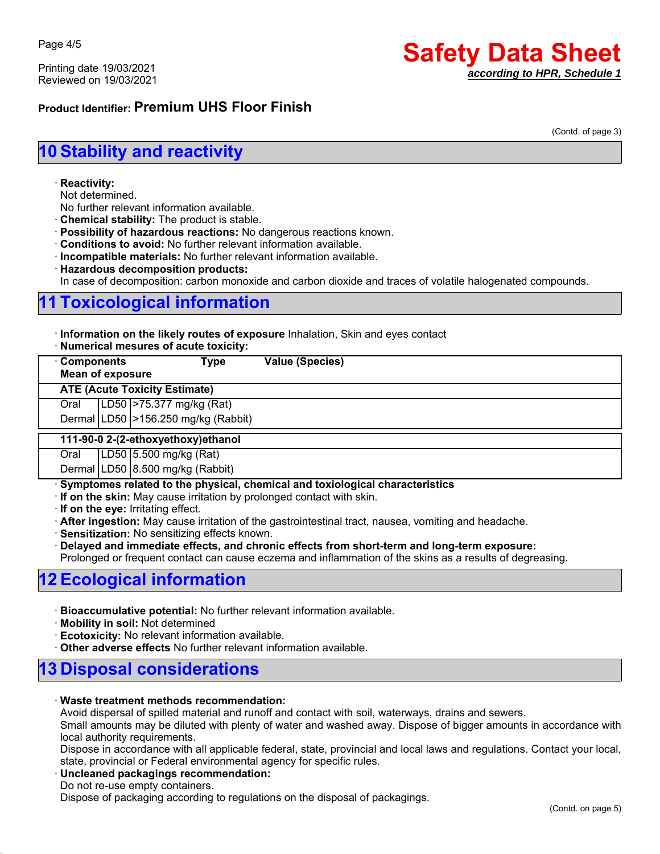Printing date 19/03/2021 Reviewed on 19/03/2021

# **Safety Data Sheet** *according to HPR, Schedule 1*

### **Product Identifier: Premium UHS Floor Finish**

(Contd. of page 3)

# **10 Stability and reactivity**

#### ꞏ **Reactivity:**

Not determined.

- No further relevant information available.
- ꞏ **Chemical stability:** The product is stable.
- ꞏ **Possibility of hazardous reactions:** No dangerous reactions known.
- ꞏ **Conditions to avoid:** No further relevant information available.
- ꞏ **Incompatible materials:** No further relevant information available.
- ꞏ **Hazardous decomposition products:**

In case of decomposition: carbon monoxide and carbon dioxide and traces of volatile halogenated compounds.

# **11 Toxicological information**

ꞏ **Information on the likely routes of exposure** Inhalation, Skin and eyes contact

|  | · Numerical mesures of acute toxicity: |  |  |  |  |  |
|--|----------------------------------------|--|--|--|--|--|
|--|----------------------------------------|--|--|--|--|--|

| <b>Components</b><br>Type<br><b>Mean of exposure</b> |  |                                          | <b>Value (Species)</b> |  |  |
|------------------------------------------------------|--|------------------------------------------|------------------------|--|--|
| <b>ATE (Acute Toxicity Estimate)</b>                 |  |                                          |                        |  |  |
| Oral                                                 |  | LD50 > 75.377 mg/kg (Rat)                |                        |  |  |
|                                                      |  | Dermal   LD50   > 156.250 mg/kg (Rabbit) |                        |  |  |
| 111-90-0 2-(2-ethoxyethoxy)ethanol                   |  |                                          |                        |  |  |
| Oral                                                 |  | LD50 5.500 mg/kg (Rat)                   |                        |  |  |
|                                                      |  | Dermal LD50 8.500 mg/kg (Rabbit)         |                        |  |  |

ꞏ **Symptomes related to the physical, chemical and toxiological characteristics**

ꞏ **If on the skin:** May cause irritation by prolonged contact with skin.

ꞏ **If on the eye:** Irritating effect.

ꞏ **After ingestion:** May cause irritation of the gastrointestinal tract, nausea, vomiting and headache.

ꞏ **Sensitization:** No sensitizing effects known.

ꞏ **Delayed and immediate effects, and chronic effects from short-term and long-term exposure:**

Prolonged or frequent contact can cause eczema and inflammation of the skins as a results of degreasing.

### **12 Ecological information**

- ꞏ **Bioaccumulative potential:** No further relevant information available.
- ꞏ **Mobility in soil:** Not determined
- **Ecotoxicity:** No relevant information available.
- ꞏ **Other adverse effects** No further relevant information available.

### **13 Disposal considerations**

#### ꞏ **Waste treatment methods recommendation:**

Avoid dispersal of spilled material and runoff and contact with soil, waterways, drains and sewers.

Small amounts may be diluted with plenty of water and washed away. Dispose of bigger amounts in accordance with local authority requirements.

Dispose in accordance with all applicable federal, state, provincial and local laws and regulations. Contact your local, state, provincial or Federal environmental agency for specific rules.

#### ꞏ **Uncleaned packagings recommendation:**

Do not re-use empty containers.

Dispose of packaging according to regulations on the disposal of packagings.